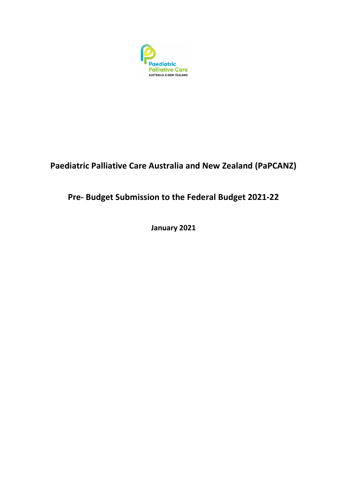

## **Paediatric Palliative Care Australia and New Zealand (PaPCANZ)**

# **Pre- Budget Submission to the Federal Budget 2021-22**

**January 2021**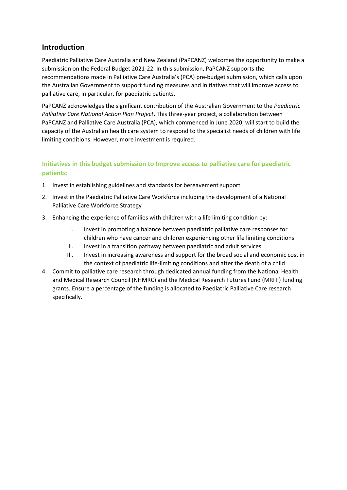## **Introduction**

Paediatric Palliative Care Australia and New Zealand (PaPCANZ) welcomes the opportunity to make a submission on the Federal Budget 2021-22. In this submission, PaPCANZ supports the recommendations made in Palliative Care Australia's (PCA) pre-budget submission, which calls upon the Australian Government to support funding measures and initiatives that will improve access to palliative care, in particular, for paediatric patients.

PaPCANZ acknowledges the significant contribution of the Australian Government to the *Paediatric Palliative Care National Action Plan Project*. This three-year project, a collaboration between PaPCANZ and Palliative Care Australia (PCA), which commenced in June 2020, will start to build the capacity of the Australian health care system to respond to the specialist needs of children with life limiting conditions. However, more investment is required.

## **Initiatives in this budget submission to Improve access to palliative care for paediatric patients:**

- 1. Invest in establishing guidelines and standards for bereavement support
- 2. Invest in the Paediatric Palliative Care Workforce including the development of a National Palliative Care Workforce Strategy
- 3. Enhancing the experience of families with children with a life limiting condition by:
	- I. Invest in promoting a balance between paediatric palliative care responses for children who have cancer and children experiencing other life limiting conditions
	- II. Invest in a transition pathway between paediatric and adult services
	- III. Invest in increasing awareness and support for the broad social and economic cost in the context of paediatric life-limiting conditions and after the death of a child
- 4. Commit to palliative care research through dedicated annual funding from the National Health and Medical Research Council (NHMRC) and the Medical Research Futures Fund (MRFF) funding grants. Ensure a percentage of the funding is allocated to Paediatric Palliative Care research specifically.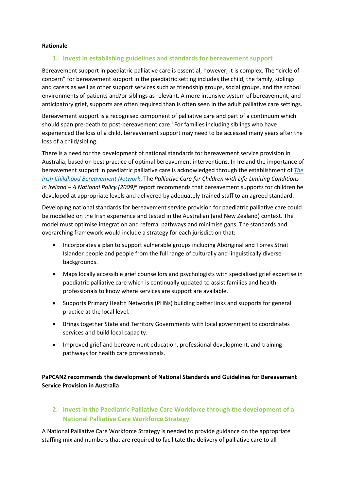#### **Rationale**

#### **1. Invest in establishing guidelines and standards for bereavement support**

Bereavement support in paediatric palliative care is essential, however, it is complex. The "circle of concern" for bereavement support in the paediatric setting includes the child, the family, siblings and carers as well as other support services such as friendship groups, social groups, and the school environments of patients and/or siblings as relevant. A more intensive system of bereavement, and anticipatory grief, supports are often required than is often seen in the adult palliative care settings.

Bereavement support is a recognised component of palliative care and part of a continuum which should span pre-death to post-bereavement care. [i](#page-7-0) For families including siblings who have experienced the loss of a child, bereavement support may need to be accessed many years after the loss of a child/sibling.

There is a need for the development of national standards for bereavement service provision in Australia, based on best practice of optimal bereavement interventions. In Ireland the importance of bereavement support in paediatric palliative care is acknowledged through the establishment of *[The](https://www.childhoodbereavement.ie/)  [Irish Childhood Bereavement Network](https://www.childhoodbereavement.ie/)*. The *Palliative Care for Children with Life-Limiting Conditions in Ireland – A National Policy (2009)[ii](#page-7-1)* report recommends that bereavement supports for children be developed at appropriate levels and delivered by adequately trained staff to an agreed standard.

Developing national standards for bereavement service provision for paediatric palliative care could be modelled on the Irish experience and tested in the Australian (and New Zealand) context. The model must optimise integration and referral pathways and minimise gaps. The standards and overarching framework would include a strategy for each jurisdiction that:

- Incorporates a plan to support vulnerable groups including Aboriginal and Torres Strait Islander people and people from the full range of culturally and linguistically diverse backgrounds.
- Maps locally accessible grief counsellors and psychologists with specialised grief expertise in paediatric palliative care which is continually updated to assist families and health professionals to know where services are support are available.
- Supports Primary Health Networks (PHNs) building better links and supports for general practice at the local level.
- Brings together State and Territory Governments with local government to coordinates services and build local capacity.
- Improved grief and bereavement education, professional development, and training pathways for health care professionals.

**PaPCANZ recommends the development of National Standards and Guidelines for Bereavement Service Provision in Australia**

### **2. Invest in the Paediatric Palliative Care Workforce through the development of a National Palliative Care Workforce Strategy**

A National Palliative Care Workforce Strategy is needed to provide guidance on the appropriate staffing mix and numbers that are required to facilitate the delivery of palliative care to all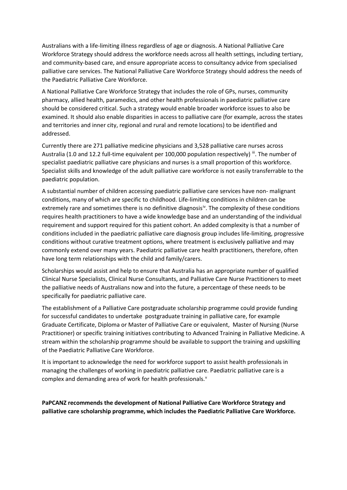Australians with a life-limiting illness regardless of age or diagnosis. A National Palliative Care Workforce Strategy should address the workforce needs across all health settings, including tertiary, and community-based care, and ensure appropriate access to consultancy advice from specialised palliative care services. The National Palliative Care Workforce Strategy should address the needs of the Paediatric Palliative Care Workforce.

A National Palliative Care Workforce Strategy that includes the role of GPs, nurses, community pharmacy, allied health, paramedics, and other health professionals in paediatric palliative care should be considered critical. Such a strategy would enable broader workforce issues to also be examined. It should also enable disparities in access to palliative care (for example, across the states and territories and inner city, regional and rural and remote locations) to be identified and addressed.

Currently there are 271 palliative medicine physicians and 3,528 palliative care nurses across Australia (1.0 and 12.2 full-time equivalent per 100,000 population respectively) in The number of specialist paediatric palliative care physicians and nurses is a small proportion of this workforce. Specialist skills and knowledge of the adult palliative care workforce is not easily transferrable to the paediatric population.

A substantial number of children accessing paediatric palliative care services have non- malignant conditions, many of which are specific to childhood. Life-limiting conditions in children can be extremely rare and sometimes there is no definitive diagnosis<sup>iv</sup>. The complexity of these conditions requires health practitioners to have a wide knowledge base and an understanding of the individual requirement and support required for this patient cohort. An added complexity is that a number of conditions included in the paediatric palliative care diagnosis group includes life-limiting, progressive conditions without curative treatment options, where treatment is exclusively palliative and may commonly extend over many years. Paediatric palliative care health practitioners, therefore, often have long term relationships with the child and family/carers.

Scholarships would assist and help to ensure that Australia has an appropriate number of qualified Clinical Nurse Specialists, Clinical Nurse Consultants, and Palliative Care Nurse Practitioners to meet the palliative needs of Australians now and into the future, a percentage of these needs to be specifically for paediatric palliative care.

The establishment of a Palliative Care postgraduate scholarship programme could provide funding for successful candidates to undertake postgraduate training in palliative care, for example Graduate Certificate, Diploma or Master of Palliative Care or equivalent, Master of Nursing (Nurse Practitioner) or specific training initiatives contributing to Advanced Training in Palliative Medicine. A stream within the scholarship programme should be available to support the training and upskilling of the Paediatric Palliative Care Workforce.

It is important to acknowledge the need for workforce support to assist health professionals in managing the challenges of working in paediatric palliative care. Paediatric palliative care is a complex and demanding area of work for health professionals.<sup>[v](#page-7-4)</sup>

**PaPCANZ recommends the development of National Palliative Care Workforce Strategy and palliative care scholarship programme, which includes the Paediatric Palliative Care Workforce.**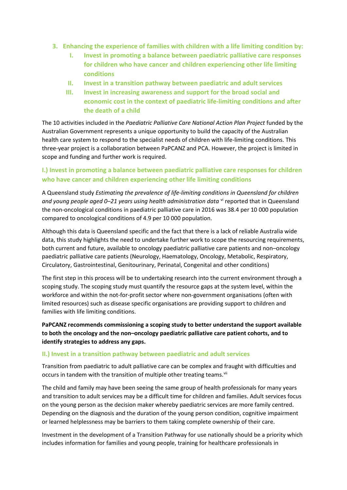- **3. Enhancing the experience of families with children with a life limiting condition by:**
	- **I. Invest in promoting a balance between paediatric palliative care responses for children who have cancer and children experiencing other life limiting conditions**
	- **II. Invest in a transition pathway between paediatric and adult services**
	- **III. Invest in increasing awareness and support for the broad social and economic cost in the context of paediatric life-limiting conditions and after the death of a child**

The 10 activities included in the *Paediatric Palliative Care National Action Plan Project* funded by the Australian Government represents a unique opportunity to build the capacity of the Australian health care system to respond to the specialist needs of children with life-limiting conditions. This three-year project is a collaboration between PaPCANZ and PCA. However, the project is limited in scope and funding and further work is required.

## **I.) Invest in promoting a balance between paediatric palliative care responses for children who have cancer and children experiencing other life limiting conditions**

A Queensland study *Estimating the prevalence of life-limiting conditions in Queensland for children and young people aged 0–21 years using health administration data* [vi](#page-7-5) reported that in Queensland the non-oncological conditions in paediatric palliative care in 2016 was 38.4 per 10 000 population compared to oncological conditions of 4.9 per 10 000 population.

Although this data is Queensland specific and the fact that there is a lack of reliable Australia wide data, this study highlights the need to undertake further work to scope the resourcing requirements, both current and future, available to oncology paediatric palliative care patients and non–oncology paediatric palliative care patients (Neurology, Haematology, Oncology, Metabolic, Respiratory, Circulatory, Gastrointestinal, Genitourinary, Perinatal, Congenital and other conditions)

The first step in this process will be to undertaking research into the current environment through a scoping study. The scoping study must quantify the resource gaps at the system level, within the workforce and within the not-for-profit sector where non-government organisations (often with limited resources) such as disease specific organisations are providing support to children and families with life limiting conditions.

**PaPCANZ recommends commissioning a scoping study to better understand the support available to both the oncology and the non–oncology paediatric palliative care patient cohorts, and to identify strategies to address any gaps.**

#### **II.) Invest in a transition pathway between paediatric and adult services**

Transition from paediatric to adult palliative care can be complex and fraught with difficulties and occurs in tandem with the transition of multiple other treating teams.<sup>[vii](#page-7-6)</sup>

The child and family may have been seeing the same group of health professionals for many years and transition to adult services may be a difficult time for children and families. Adult services focus on the young person as the decision maker whereby paediatric services are more family centred. Depending on the diagnosis and the duration of the young person condition, cognitive impairment or learned helplessness may be barriers to them taking complete ownership of their care.

Investment in the development of a Transition Pathway for use nationally should be a priority which includes information for families and young people, training for healthcare professionals in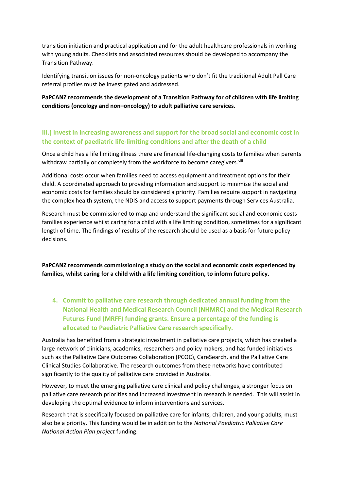transition initiation and practical application and for the adult healthcare professionals in working with young adults. Checklists and associated resources should be developed to accompany the Transition Pathway.

Identifying transition issues for non-oncology patients who don't fit the traditional Adult Pall Care referral profiles must be investigated and addressed.

**PaPCANZ recommends the development of a Transition Pathway for of children with life limiting conditions (oncology and non–oncology) to adult palliative care services.**

#### **III.) Invest in increasing awareness and support for the broad social and economic cost in the context of paediatric life-limiting conditions and after the death of a child**

Once a child has a life limiting illness there are financial life-changing costs to families when parents withdraw partially or completely from the workforce to become caregivers. Vili

Additional costs occur when families need to access equipment and treatment options for their child. A coordinated approach to providing information and support to minimise the social and economic costs for families should be considered a priority. Families require support in navigating the complex health system, the NDIS and access to support payments through Services Australia.

Research must be commissioned to map and understand the significant social and economic costs families experience whilst caring for a child with a life limiting condition, sometimes for a significant length of time. The findings of results of the research should be used as a basis for future policy decisions.

**PaPCANZ recommends commissioning a study on the social and economic costs experienced by families, whilst caring for a child with a life limiting condition, to inform future policy.** 

**4. Commit to palliative care research through dedicated annual funding from the National Health and Medical Research Council (NHMRC) and the Medical Research Futures Fund (MRFF) funding grants. Ensure a percentage of the funding is allocated to Paediatric Palliative Care research specifically.**

Australia has benefited from a strategic investment in palliative care projects, which has created a large network of clinicians, academics, researchers and policy makers, and has funded initiatives such as the Palliative Care Outcomes Collaboration (PCOC), CareSearch, and the Palliative Care Clinical Studies Collaborative. The research outcomes from these networks have contributed significantly to the quality of palliative care provided in Australia.

However, to meet the emerging palliative care clinical and policy challenges, a stronger focus on palliative care research priorities and increased investment in research is needed. This will assist in developing the optimal evidence to inform interventions and services.

Research that is specifically focused on palliative care for infants, children, and young adults, must also be a priority. This funding would be in addition to the *National Paediatric Palliative Care National Action Plan project* funding.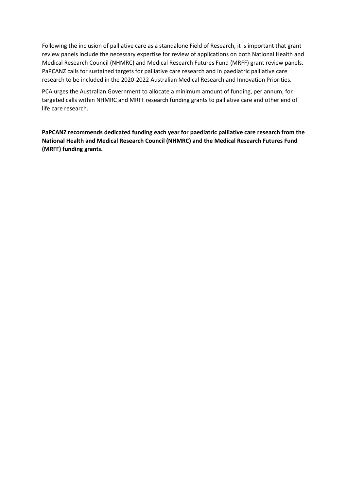Following the inclusion of palliative care as a standalone Field of Research, it is important that grant review panels include the necessary expertise for review of applications on both National Health and Medical Research Council (NHMRC) and Medical Research Futures Fund (MRFF) grant review panels. PaPCANZ calls for sustained targets for palliative care research and in paediatric palliative care research to be included in the 2020-2022 Australian Medical Research and Innovation Priorities.

PCA urges the Australian Government to allocate a minimum amount of funding, per annum, for targeted calls within NHMRC and MRFF research funding grants to palliative care and other end of life care research.

**PaPCANZ recommends dedicated funding each year for paediatric palliative care research from the National Health and Medical Research Council (NHMRC) and the Medical Research Futures Fund (MRFF) funding grants.**